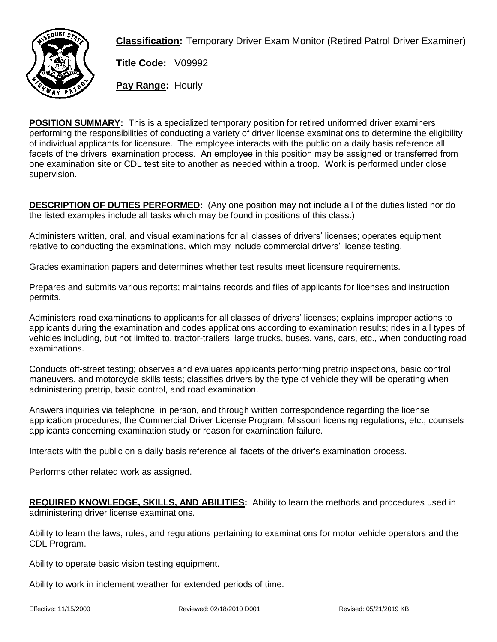

**Classification:** Temporary Driver Exam Monitor (Retired Patrol Driver Examiner)

**Title Code:** V09992

**Pay Range:** Hourly

**POSITION SUMMARY:** This is a specialized temporary position for retired uniformed driver examiners performing the responsibilities of conducting a variety of driver license examinations to determine the eligibility of individual applicants for licensure. The employee interacts with the public on a daily basis reference all facets of the drivers' examination process. An employee in this position may be assigned or transferred from one examination site or CDL test site to another as needed within a troop. Work is performed under close supervision.

**DESCRIPTION OF DUTIES PERFORMED:** (Any one position may not include all of the duties listed nor do the listed examples include all tasks which may be found in positions of this class.)

Administers written, oral, and visual examinations for all classes of drivers' licenses; operates equipment relative to conducting the examinations, which may include commercial drivers' license testing.

Grades examination papers and determines whether test results meet licensure requirements.

Prepares and submits various reports; maintains records and files of applicants for licenses and instruction permits.

Administers road examinations to applicants for all classes of drivers' licenses; explains improper actions to applicants during the examination and codes applications according to examination results; rides in all types of vehicles including, but not limited to, tractor-trailers, large trucks, buses, vans, cars, etc., when conducting road examinations.

Conducts off-street testing; observes and evaluates applicants performing pretrip inspections, basic control maneuvers, and motorcycle skills tests; classifies drivers by the type of vehicle they will be operating when administering pretrip, basic control, and road examination.

Answers inquiries via telephone, in person, and through written correspondence regarding the license application procedures, the Commercial Driver License Program, Missouri licensing regulations, etc.; counsels applicants concerning examination study or reason for examination failure.

Interacts with the public on a daily basis reference all facets of the driver's examination process.

Performs other related work as assigned.

**REQUIRED KNOWLEDGE, SKILLS, AND ABILITIES:** Ability to learn the methods and procedures used in administering driver license examinations.

Ability to learn the laws, rules, and regulations pertaining to examinations for motor vehicle operators and the CDL Program.

Ability to operate basic vision testing equipment.

Ability to work in inclement weather for extended periods of time.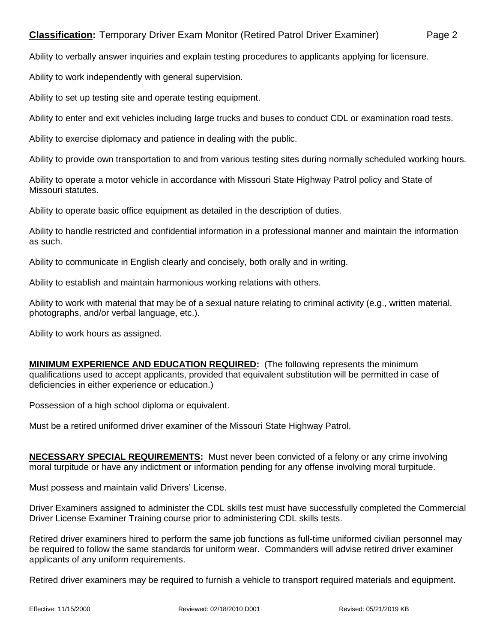Ability to verbally answer inquiries and explain testing procedures to applicants applying for licensure.

Ability to work independently with general supervision.

Ability to set up testing site and operate testing equipment.

Ability to enter and exit vehicles including large trucks and buses to conduct CDL or examination road tests.

Ability to exercise diplomacy and patience in dealing with the public.

Ability to provide own transportation to and from various testing sites during normally scheduled working hours.

Ability to operate a motor vehicle in accordance with Missouri State Highway Patrol policy and State of Missouri statutes.

Ability to operate basic office equipment as detailed in the description of duties.

Ability to handle restricted and confidential information in a professional manner and maintain the information as such.

Ability to communicate in English clearly and concisely, both orally and in writing.

Ability to establish and maintain harmonious working relations with others.

Ability to work with material that may be of a sexual nature relating to criminal activity (e.g., written material, photographs, and/or verbal language, etc.).

Ability to work hours as assigned.

**MINIMUM EXPERIENCE AND EDUCATION REQUIRED:** (The following represents the minimum qualifications used to accept applicants, provided that equivalent substitution will be permitted in case of deficiencies in either experience or education.)

Possession of a high school diploma or equivalent.

Must be a retired uniformed driver examiner of the Missouri State Highway Patrol.

**NECESSARY SPECIAL REQUIREMENTS:** Must never been convicted of a felony or any crime involving moral turpitude or have any indictment or information pending for any offense involving moral turpitude.

Must possess and maintain valid Drivers' License.

Driver Examiners assigned to administer the CDL skills test must have successfully completed the Commercial Driver License Examiner Training course prior to administering CDL skills tests.

Retired driver examiners hired to perform the same job functions as full-time uniformed civilian personnel may be required to follow the same standards for uniform wear. Commanders will advise retired driver examiner applicants of any uniform requirements.

Retired driver examiners may be required to furnish a vehicle to transport required materials and equipment.